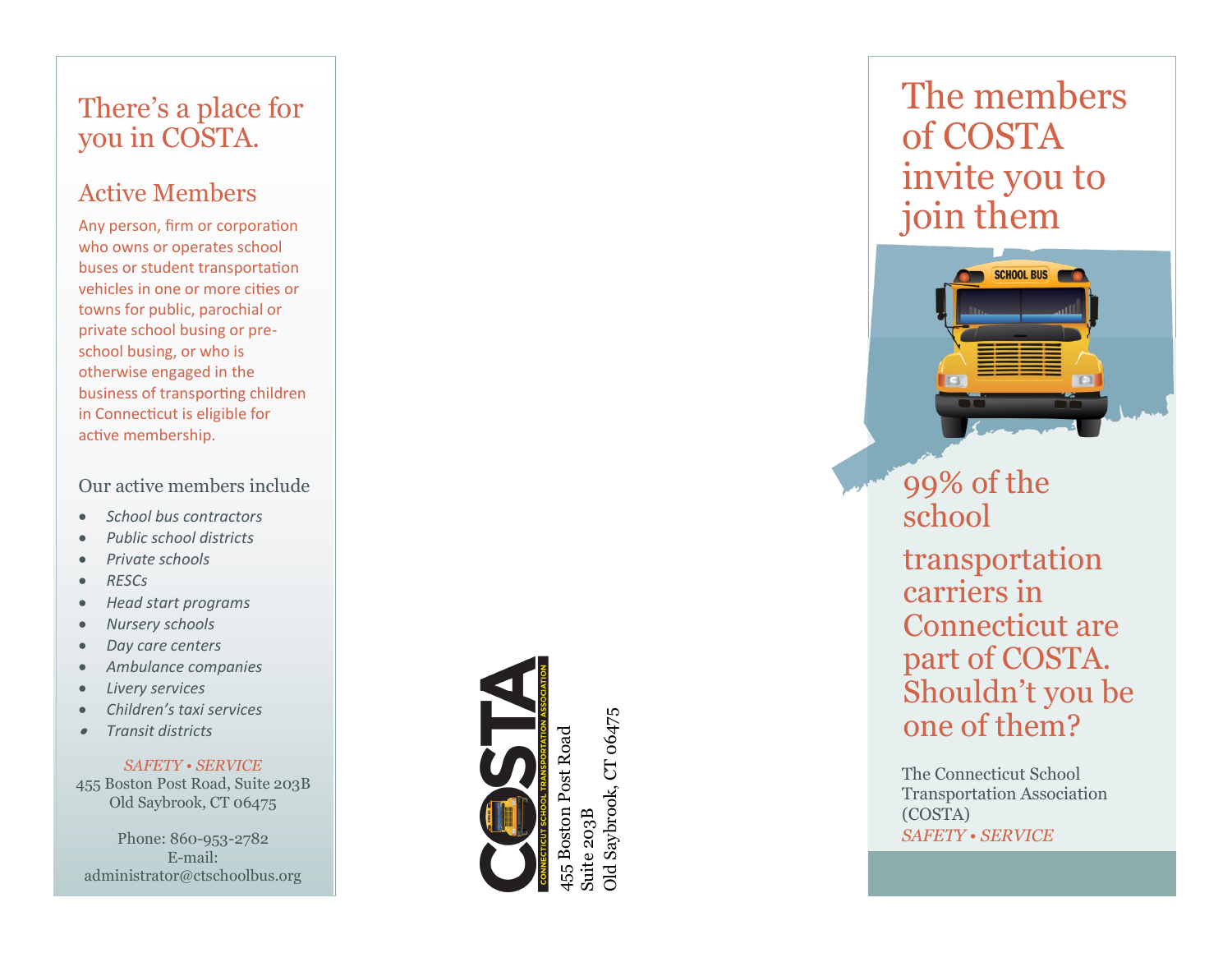# There 's a place for you in COSTA.

### Active Members

Any person, firm or corporation who owns or operates school buses or student transportation vehicles in one or more cities or towns for public, parochial or private school busing or pre school busing, or who is otherwise engaged in the business of transporting children in Connecticut is eligible for active membership.

#### Our active members include

- *School bus contractors*
- *Public school districts*
- *Private schools*
- *RESCs*
- *Head start programs*
- *Nursery schools*
- *Day care centers*
- *Ambulance companies*
- *Livery services*
- *Children's taxi services*
- •*Transit districts*

*SAFETY • SERVICE* 455 Boston Post Road, Suite 203B Old Saybrook, CT 06475

Phone: 860 -953 -2782 E -mail: administrator@ctschoolbus.org



Suite 203B

iuite 203B

Dld Saybrook, CT 06475 Old Saybrook, CT 06475

The members of COSTA invite you to join them



The Connecticut School Transportation Association (COSTA) *SAFETY • SERVICE*